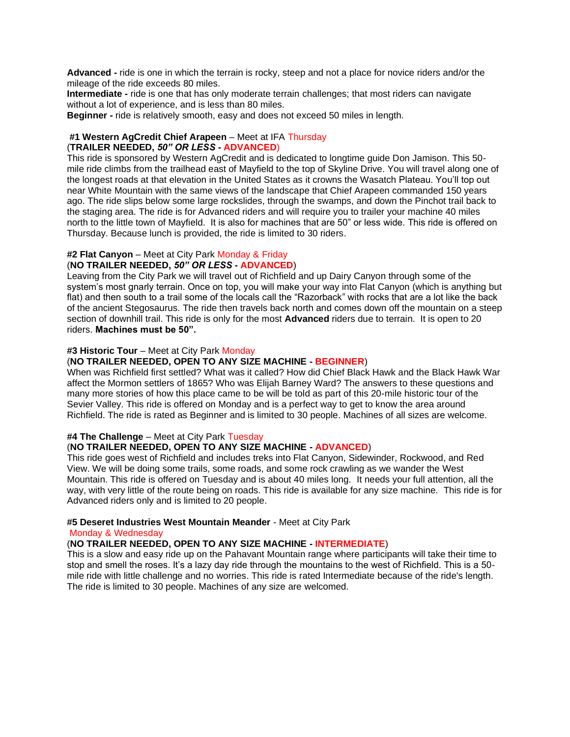**Advanced -** ride is one in which the terrain is rocky, steep and not a place for novice riders and/or the mileage of the ride exceeds 80 miles.

**Intermediate -** ride is one that has only moderate terrain challenges; that most riders can navigate without a lot of experience, and is less than 80 miles.

**Beginner -** ride is relatively smooth, easy and does not exceed 50 miles in length.

#### **#1 Western AgCredit Chief Arapeen** – Meet at IFA Thursday (**TRAILER NEEDED,** *50" OR LESS -* **ADVANCED**)

This ride is sponsored by Western AgCredit and is dedicated to longtime guide Don Jamison. This 50 mile ride climbs from the trailhead east of Mayfield to the top of Skyline Drive. You will travel along one of the longest roads at that elevation in the United States as it crowns the Wasatch Plateau. You'll top out near White Mountain with the same views of the landscape that Chief Arapeen commanded 150 years ago. The ride slips below some large rockslides, through the swamps, and down the Pinchot trail back to the staging area. The ride is for Advanced riders and will require you to trailer your machine 40 miles north to the little town of Mayfield. It is also for machines that are 50" or less wide. This ride is offered on Thursday. Because lunch is provided, the ride is limited to 30 riders.

#### **#2 Flat Canyon** – Meet at City Park Monday & Friday

#### (**NO TRAILER NEEDED,** *50" OR LESS* **- ADVANCED**)

Leaving from the City Park we will travel out of Richfield and up Dairy Canyon through some of the system's most gnarly terrain. Once on top, you will make your way into Flat Canyon (which is anything but flat) and then south to a trail some of the locals call the "Razorback" with rocks that are a lot like the back of the ancient Stegosaurus. The ride then travels back north and comes down off the mountain on a steep section of downhill trail. This ride is only for the most **Advanced** riders due to terrain. It is open to 20 riders. **Machines must be 50".**

#### **#3 Historic Tour** – Meet at City Park Monday

## (**NO TRAILER NEEDED, OPEN TO ANY SIZE MACHINE - BEGINNER**)

When was Richfield first settled? What was it called? How did Chief Black Hawk and the Black Hawk War affect the Mormon settlers of 1865? Who was Elijah Barney Ward? The answers to these questions and many more stories of how this place came to be will be told as part of this 20-mile historic tour of the Sevier Valley. This ride is offered on Monday and is a perfect way to get to know the area around Richfield. The ride is rated as Beginner and is limited to 30 people. Machines of all sizes are welcome.

#### **#4 The Challenge** – Meet at City Park Tuesday

#### (**NO TRAILER NEEDED, OPEN TO ANY SIZE MACHINE - ADVANCED**)

This ride goes west of Richfield and includes treks into Flat Canyon, Sidewinder, Rockwood, and Red View. We will be doing some trails, some roads, and some rock crawling as we wander the West Mountain. This ride is offered on Tuesday and is about 40 miles long. It needs your full attention, all the way, with very little of the route being on roads. This ride is available for any size machine. This ride is for Advanced riders only and is limited to 20 people.

#### **#5 Deseret Industries West Mountain Meander** - Meet at City Park

#### Monday & Wednesday

## (**NO TRAILER NEEDED, OPEN TO ANY SIZE MACHINE - INTERMEDIATE**)

This is a slow and easy ride up on the Pahavant Mountain range where participants will take their time to stop and smell the roses. It's a lazy day ride through the mountains to the west of Richfield. This is a 50 mile ride with little challenge and no worries. This ride is rated Intermediate because of the ride's length. The ride is limited to 30 people. Machines of any size are welcomed.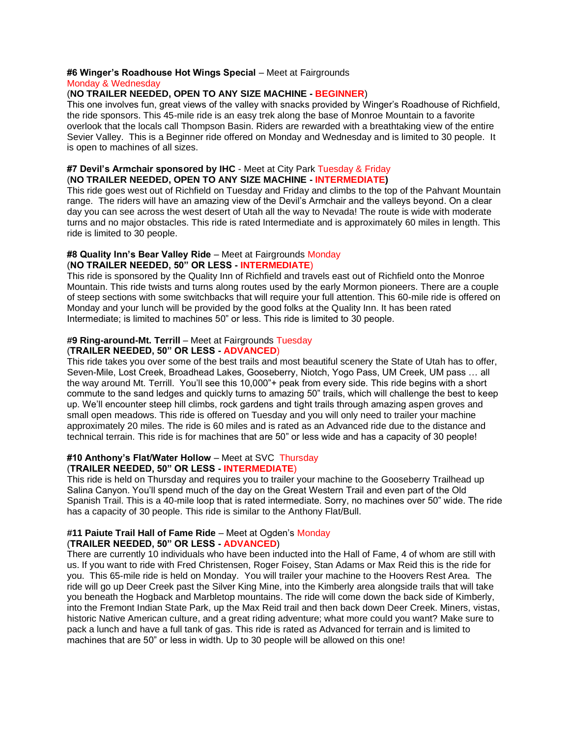#### **#6 Winger's Roadhouse Hot Wings Special** – Meet at Fairgrounds

#### Monday & Wednesday

#### (**NO TRAILER NEEDED, OPEN TO ANY SIZE MACHINE - BEGINNER**)

This one involves fun, great views of the valley with snacks provided by Winger's Roadhouse of Richfield, the ride sponsors. This 45-mile ride is an easy trek along the base of Monroe Mountain to a favorite overlook that the locals call Thompson Basin. Riders are rewarded with a breathtaking view of the entire Sevier Valley. This is a Beginner ride offered on Monday and Wednesday and is limited to 30 people. It is open to machines of all sizes.

#### **#7 Devil's Armchair sponsored by IHC** - Meet at City Park Tuesday & Friday (**NO TRAILER NEEDED, OPEN TO ANY SIZE MACHINE - INTERMEDIATE)**

This ride goes west out of Richfield on Tuesday and Friday and climbs to the top of the Pahvant Mountain range. The riders will have an amazing view of the Devil's Armchair and the valleys beyond. On a clear day you can see across the west desert of Utah all the way to Nevada! The route is wide with moderate turns and no major obstacles. This ride is rated Intermediate and is approximately 60 miles in length. This ride is limited to 30 people.

## **#8 Quality Inn's Bear Valley Ride** – Meet at Fairgrounds Monday

#### (**NO TRAILER NEEDED, 50" OR LESS - INTERMEDIATE**)

This ride is sponsored by the Quality Inn of Richfield and travels east out of Richfield onto the Monroe Mountain. This ride twists and turns along routes used by the early Mormon pioneers. There are a couple of steep sections with some switchbacks that will require your full attention. This 60-mile ride is offered on Monday and your lunch will be provided by the good folks at the Quality Inn. It has been rated Intermediate; is limited to machines 50" or less. This ride is limited to 30 people.

#### **#9 Ring-around-Mt. Terrill** – Meet at Fairgrounds Tuesday (**TRAILER NEEDED, 50" OR LESS - ADVANCED**)

This ride takes you over some of the best trails and most beautiful scenery the State of Utah has to offer, Seven-Mile, Lost Creek, Broadhead Lakes, Gooseberry, Niotch, Yogo Pass, UM Creek, UM pass … all the way around Mt. Terrill. You'll see this 10,000"+ peak from every side. This ride begins with a short commute to the sand ledges and quickly turns to amazing 50" trails, which will challenge the best to keep up. We'll encounter steep hill climbs, rock gardens and tight trails through amazing aspen groves and small open meadows. This ride is offered on Tuesday and you will only need to trailer your machine approximately 20 miles. The ride is 60 miles and is rated as an Advanced ride due to the distance and technical terrain. This ride is for machines that are 50" or less wide and has a capacity of 30 people!

#### **#10 Anthony's Flat/Water Hollow** – Meet at SVC Thursday (**TRAILER NEEDED, 50" OR LESS - INTERMEDIATE**)

This ride is held on Thursday and requires you to trailer your machine to the Gooseberry Trailhead up Salina Canyon. You'll spend much of the day on the Great Western Trail and even part of the Old Spanish Trail. This is a 40-mile loop that is rated intermediate. Sorry, no machines over 50" wide. The ride has a capacity of 30 people. This ride is similar to the Anthony Flat/Bull.

#### **#11 Paiute Trail Hall of Fame Ride** – Meet at Ogden's Monday (**TRAILER NEEDED, 50" OR LESS - ADVANCED**)

There are currently 10 individuals who have been inducted into the Hall of Fame, 4 of whom are still with us. If you want to ride with Fred Christensen, Roger Foisey, Stan Adams or Max Reid this is the ride for you. This 65-mile ride is held on Monday. You will trailer your machine to the Hoovers Rest Area. The ride will go up Deer Creek past the Silver King Mine, into the Kimberly area alongside trails that will take you beneath the Hogback and Marbletop mountains. The ride will come down the back side of Kimberly, into the Fremont Indian State Park, up the Max Reid trail and then back down Deer Creek. Miners, vistas, historic Native American culture, and a great riding adventure; what more could you want? Make sure to pack a lunch and have a full tank of gas. This ride is rated as Advanced for terrain and is limited to machines that are 50" or less in width. Up to 30 people will be allowed on this one!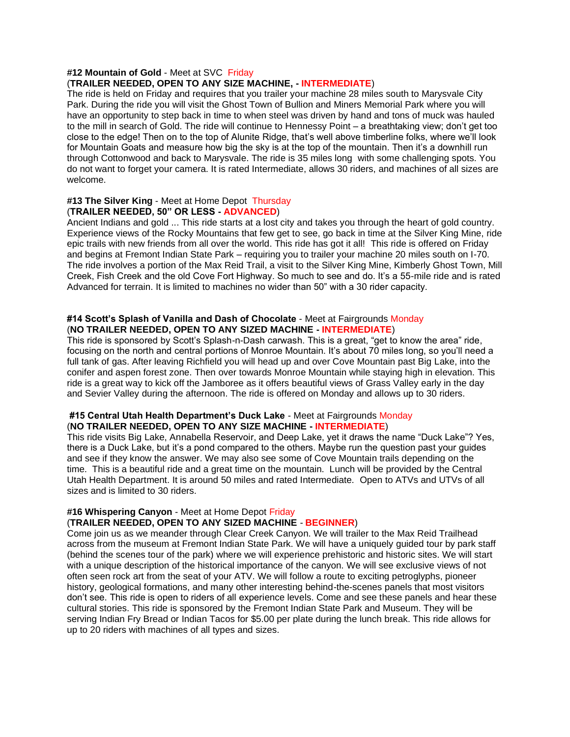### **#12 Mountain of Gold** - Meet at SVC Friday

## (**TRAILER NEEDED, OPEN TO ANY SIZE MACHINE, - INTERMEDIATE**)

The ride is held on Friday and requires that you trailer your machine 28 miles south to Marysvale City Park. During the ride you will visit the Ghost Town of Bullion and Miners Memorial Park where you will have an opportunity to step back in time to when steel was driven by hand and tons of muck was hauled to the mill in search of Gold. The ride will continue to Hennessy Point – a breathtaking view; don't get too close to the edge! Then on to the top of Alunite Ridge, that's well above timberline folks, where we'll look for Mountain Goats and measure how big the sky is at the top of the mountain. Then it's a downhill run through Cottonwood and back to Marysvale. The ride is 35 miles long with some challenging spots. You do not want to forget your camera. It is rated Intermediate, allows 30 riders, and machines of all sizes are welcome.

#### **#13 The Silver King** - Meet at Home Depot Thursday (**TRAILER NEEDED, 50" OR LESS - ADVANCED**)

Ancient Indians and gold ... This ride starts at a lost city and takes you through the heart of gold country. Experience views of the Rocky Mountains that few get to see, go back in time at the Silver King Mine, ride epic trails with new friends from all over the world. This ride has got it all! This ride is offered on Friday and begins at Fremont Indian State Park – requiring you to trailer your machine 20 miles south on I-70. The ride involves a portion of the Max Reid Trail, a visit to the Silver King Mine, Kimberly Ghost Town, Mill Creek, Fish Creek and the old Cove Fort Highway. So much to see and do. It's a 55-mile ride and is rated Advanced for terrain. It is limited to machines no wider than 50" with a 30 rider capacity.

### **#14 Scott's Splash of Vanilla and Dash of Chocolate** - Meet at Fairgrounds Monday (**NO TRAILER NEEDED, OPEN TO ANY SIZED MACHINE - INTERMEDIATE**)

This ride is sponsored by Scott's Splash-n-Dash carwash. This is a great, "get to know the area" ride, focusing on the north and central portions of Monroe Mountain. It's about 70 miles long, so you'll need a full tank of gas. After leaving Richfield you will head up and over Cove Mountain past Big Lake, into the conifer and aspen forest zone. Then over towards Monroe Mountain while staying high in elevation. This ride is a great way to kick off the Jamboree as it offers beautiful views of Grass Valley early in the day and Sevier Valley during the afternoon. The ride is offered on Monday and allows up to 30 riders.

#### **#15 Central Utah Health Department's Duck Lake** - Meet at Fairgrounds Monday (**NO TRAILER NEEDED, OPEN TO ANY SIZE MACHINE - INTERMEDIATE**)

This ride visits Big Lake, Annabella Reservoir, and Deep Lake, yet it draws the name "Duck Lake"? Yes, there is a Duck Lake, but it's a pond compared to the others. Maybe run the question past your guides and see if they know the answer. We may also see some of Cove Mountain trails depending on the time. This is a beautiful ride and a great time on the mountain. Lunch will be provided by the Central Utah Health Department. It is around 50 miles and rated Intermediate. Open to ATVs and UTVs of all sizes and is limited to 30 riders.

#### **#16 Whispering Canyon** - Meet at Home Depot Friday

#### (**TRAILER NEEDED, OPEN TO ANY SIZED MACHINE** - **BEGINNER**)

Come join us as we meander through Clear Creek Canyon. We will trailer to the Max Reid Trailhead across from the museum at Fremont Indian State Park. We will have a uniquely guided tour by park staff (behind the scenes tour of the park) where we will experience prehistoric and historic sites. We will start with a unique description of the historical importance of the canyon. We will see exclusive views of not often seen rock art from the seat of your ATV. We will follow a route to exciting petroglyphs, pioneer history, geological formations, and many other interesting behind-the-scenes panels that most visitors don't see. This ride is open to riders of all experience levels. Come and see these panels and hear these cultural stories. This ride is sponsored by the Fremont Indian State Park and Museum. They will be serving Indian Fry Bread or Indian Tacos for \$5.00 per plate during the lunch break. This ride allows for up to 20 riders with machines of all types and sizes.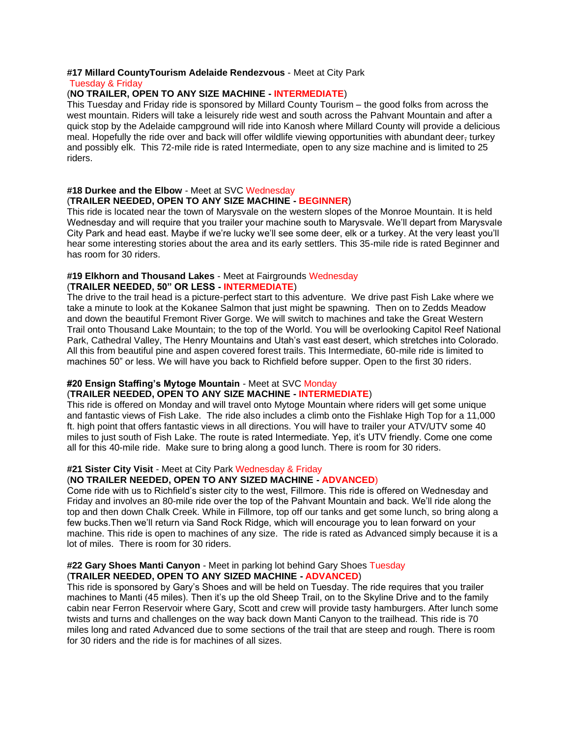#### **#17 Millard CountyTourism Adelaide Rendezvous** - Meet at City Park

#### Tuesday & Friday

## (**NO TRAILER, OPEN TO ANY SIZE MACHINE - INTERMEDIATE**)

This Tuesday and Friday ride is sponsored by Millard County Tourism – the good folks from across the west mountain. Riders will take a leisurely ride west and south across the Pahvant Mountain and after a quick stop by the Adelaide campground will ride into Kanosh where Millard County will provide a delicious meal. Hopefully the ride over and back will offer wildlife viewing opportunities with abundant deer, turkey and possibly elk. This 72-mile ride is rated Intermediate, open to any size machine and is limited to 25 riders.

#### **#18 Durkee and the Elbow** - Meet at SVC Wednesday (**TRAILER NEEDED, OPEN TO ANY SIZE MACHINE - BEGINNER**)

This ride is located near the town of Marysvale on the western slopes of the Monroe Mountain. It is held Wednesday and will require that you trailer your machine south to Marysvale. We'll depart from Marysvale City Park and head east. Maybe if we're lucky we'll see some deer, elk or a turkey. At the very least you'll hear some interesting stories about the area and its early settlers. This 35-mile ride is rated Beginner and has room for 30 riders.

#### **#19 Elkhorn and Thousand Lakes** - Meet at Fairgrounds Wednesday (**TRAILER NEEDED, 50" OR LESS - INTERMEDIATE**)

The drive to the trail head is a picture-perfect start to this adventure. We drive past Fish Lake where we take a minute to look at the Kokanee Salmon that just might be spawning. Then on to Zedds Meadow and down the beautiful Fremont River Gorge. We will switch to machines and take the Great Western Trail onto Thousand Lake Mountain; to the top of the World. You will be overlooking Capitol Reef National Park, Cathedral Valley, The Henry Mountains and Utah's vast east desert, which stretches into Colorado. All this from beautiful pine and aspen covered forest trails. This Intermediate, 60-mile ride is limited to machines 50" or less. We will have you back to Richfield before supper. Open to the first 30 riders.

## **#20 Ensign Staffing's Mytoge Mountain** - Meet at SVC Monday

## (**TRAILER NEEDED, OPEN TO ANY SIZE MACHINE - INTERMEDIATE**)

This ride is offered on Monday and will travel onto Mytoge Mountain where riders will get some unique and fantastic views of Fish Lake. The ride also includes a climb onto the Fishlake High Top for a 11,000 ft. high point that offers fantastic views in all directions. You will have to trailer your ATV/UTV some 40 miles to just south of Fish Lake. The route is rated Intermediate. Yep, it's UTV friendly. Come one come all for this 40-mile ride. Make sure to bring along a good lunch. There is room for 30 riders.

## **#21 Sister City Visit** - Meet at City Park Wednesday & Friday

## (**NO TRAILER NEEDED, OPEN TO ANY SIZED MACHINE - ADVANCED**)

Come ride with us to Richfield's sister city to the west, Fillmore. This ride is offered on Wednesday and Friday and involves an 80-mile ride over the top of the Pahvant Mountain and back. We'll ride along the top and then down Chalk Creek. While in Fillmore, top off our tanks and get some lunch, so bring along a few bucks.Then we'll return via Sand Rock Ridge, which will encourage you to lean forward on your machine. This ride is open to machines of any size. The ride is rated as Advanced simply because it is a lot of miles. There is room for 30 riders.

#### **#22 Gary Shoes Manti Canyon** - Meet in parking lot behind Gary Shoes Tuesday (**TRAILER NEEDED, OPEN TO ANY SIZED MACHINE - ADVANCED**)

This ride is sponsored by Gary's Shoes and will be held on Tuesday. The ride requires that you trailer machines to Manti (45 miles). Then it's up the old Sheep Trail, on to the Skyline Drive and to the family cabin near Ferron Reservoir where Gary, Scott and crew will provide tasty hamburgers. After lunch some twists and turns and challenges on the way back down Manti Canyon to the trailhead. This ride is 70 miles long and rated Advanced due to some sections of the trail that are steep and rough. There is room for 30 riders and the ride is for machines of all sizes.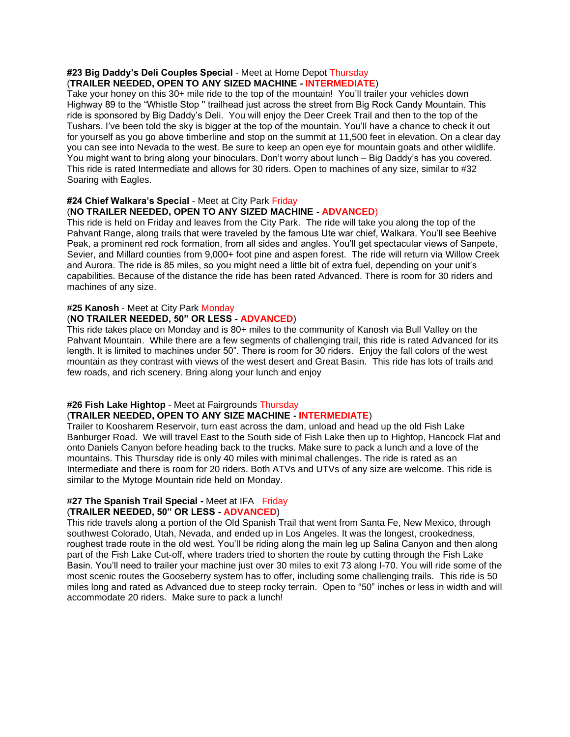#### **#23 Big Daddy's Deli Couples Special** - Meet at Home Depot Thursday (**TRAILER NEEDED, OPEN TO ANY SIZED MACHINE - INTERMEDIATE**)

Take your honey on this 30+ mile ride to the top of the mountain! You'll trailer your vehicles down Highway 89 to the "Whistle Stop '' trailhead just across the street from Big Rock Candy Mountain. This ride is sponsored by Big Daddy's Deli. You will enjoy the Deer Creek Trail and then to the top of the Tushars. I've been told the sky is bigger at the top of the mountain. You'll have a chance to check it out for yourself as you go above timberline and stop on the summit at 11,500 feet in elevation. On a clear day you can see into Nevada to the west. Be sure to keep an open eye for mountain goats and other wildlife. You might want to bring along your binoculars. Don't worry about lunch – Big Daddy's has you covered. This ride is rated Intermediate and allows for 30 riders. Open to machines of any size, similar to #32 Soaring with Eagles.

## **#24 Chief Walkara's Special** - Meet at City Park Friday

#### (**NO TRAILER NEEDED, OPEN TO ANY SIZED MACHINE - ADVANCED**)

This ride is held on Friday and leaves from the City Park. The ride will take you along the top of the Pahvant Range, along trails that were traveled by the famous Ute war chief, Walkara. You'll see Beehive Peak, a prominent red rock formation, from all sides and angles. You'll get spectacular views of Sanpete, Sevier, and Millard counties from 9,000+ foot pine and aspen forest. The ride will return via Willow Creek and Aurora. The ride is 85 miles, so you might need a little bit of extra fuel, depending on your unit's capabilities. Because of the distance the ride has been rated Advanced. There is room for 30 riders and machines of any size.

#### **#25 Kanosh** - Meet at City Park Monday

#### (**NO TRAILER NEEDED, 50" OR LESS - ADVANCED**)

This ride takes place on Monday and is 80+ miles to the community of Kanosh via Bull Valley on the Pahvant Mountain. While there are a few segments of challenging trail, this ride is rated Advanced for its length. It is limited to machines under 50". There is room for 30 riders. Enjoy the fall colors of the west mountain as they contrast with views of the west desert and Great Basin. This ride has lots of trails and few roads, and rich scenery. Bring along your lunch and enjoy

#### **#26 Fish Lake Hightop** - Meet at Fairgrounds Thursday (**TRAILER NEEDED, OPEN TO ANY SIZE MACHINE - INTERMEDIATE**)

Trailer to Koosharem Reservoir, turn east across the dam, unload and head up the old Fish Lake Banburger Road. We will travel East to the South side of Fish Lake then up to Hightop, Hancock Flat and onto Daniels Canyon before heading back to the trucks. Make sure to pack a lunch and a love of the mountains. This Thursday ride is only 40 miles with minimal challenges. The ride is rated as an Intermediate and there is room for 20 riders. Both ATVs and UTVs of any size are welcome. This ride is similar to the Mytoge Mountain ride held on Monday.

#### **#27 The Spanish Trail Special -** Meet at IFA Friday (**TRAILER NEEDED, 50" OR LESS - ADVANCED**)

This ride travels along a portion of the Old Spanish Trail that went from Santa Fe, New Mexico, through southwest Colorado, Utah, Nevada, and ended up in Los Angeles. It was the longest, crookedness, roughest trade route in the old west. You'll be riding along the main leg up Salina Canyon and then along part of the Fish Lake Cut-off, where traders tried to shorten the route by cutting through the Fish Lake Basin. You'll need to trailer your machine just over 30 miles to exit 73 along I-70. You will ride some of the most scenic routes the Gooseberry system has to offer, including some challenging trails. This ride is 50 miles long and rated as Advanced due to steep rocky terrain. Open to "50" inches or less in width and will accommodate 20 riders. Make sure to pack a lunch!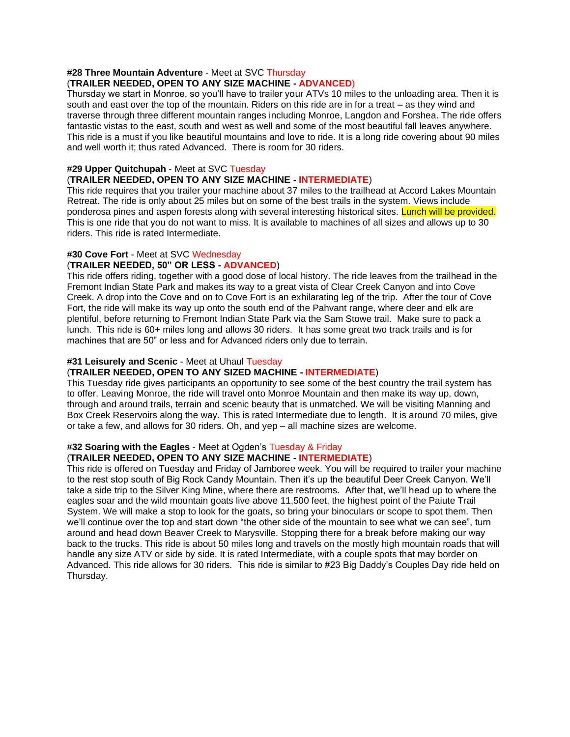## **#28 Three Mountain Adventure** - Meet at SVC Thursday

## (**TRAILER NEEDED, OPEN TO ANY SIZE MACHINE - ADVANCED**)

Thursday we start in Monroe, so you'll have to trailer your ATVs 10 miles to the unloading area. Then it is south and east over the top of the mountain. Riders on this ride are in for a treat – as they wind and traverse through three different mountain ranges including Monroe, Langdon and Forshea. The ride offers fantastic vistas to the east, south and west as well and some of the most beautiful fall leaves anywhere. This ride is a must if you like beautiful mountains and love to ride. It is a long ride covering about 90 miles and well worth it; thus rated Advanced. There is room for 30 riders.

#### **#29 Upper Quitchupah** - Meet at SVC Tuesday

#### (**TRAILER NEEDED, OPEN TO ANY SIZE MACHINE - INTERMEDIATE**)

This ride requires that you trailer your machine about 37 miles to the trailhead at Accord Lakes Mountain Retreat. The ride is only about 25 miles but on some of the best trails in the system. Views include ponderosa pines and aspen forests along with several interesting historical sites. Lunch will be provided. This is one ride that you do not want to miss. It is available to machines of all sizes and allows up to 30 riders. This ride is rated Intermediate.

## **#30 Cove Fort** - Meet at SVC Wednesday

## (**TRAILER NEEDED, 50" OR LESS - ADVANCED**)

This ride offers riding, together with a good dose of local history. The ride leaves from the trailhead in the Fremont Indian State Park and makes its way to a great vista of Clear Creek Canyon and into Cove Creek. A drop into the Cove and on to Cove Fort is an exhilarating leg of the trip. After the tour of Cove Fort, the ride will make its way up onto the south end of the Pahvant range, where deer and elk are plentiful, before returning to Fremont Indian State Park via the Sam Stowe trail. Make sure to pack a lunch. This ride is 60+ miles long and allows 30 riders. It has some great two track trails and is for machines that are 50" or less and for Advanced riders only due to terrain.

#### **#31 Leisurely and Scenic** - Meet at Uhaul Tuesday

## (**TRAILER NEEDED, OPEN TO ANY SIZED MACHINE - INTERMEDIATE**)

This Tuesday ride gives participants an opportunity to see some of the best country the trail system has to offer. Leaving Monroe, the ride will travel onto Monroe Mountain and then make its way up, down, through and around trails, terrain and scenic beauty that is unmatched. We will be visiting Manning and Box Creek Reservoirs along the way. This is rated Intermediate due to length. It is around 70 miles, give or take a few, and allows for 30 riders. Oh, and yep – all machine sizes are welcome.

## **#32 Soaring with the Eagles** - Meet at Ogden's Tuesday & Friday

## (**TRAILER NEEDED, OPEN TO ANY SIZE MACHINE - INTERMEDIATE**)

This ride is offered on Tuesday and Friday of Jamboree week. You will be required to trailer your machine to the rest stop south of Big Rock Candy Mountain. Then it's up the beautiful Deer Creek Canyon. We'll take a side trip to the Silver King Mine, where there are restrooms. After that, we'll head up to where the eagles soar and the wild mountain goats live above 11,500 feet, the highest point of the Paiute Trail System. We will make a stop to look for the goats, so bring your binoculars or scope to spot them. Then we'll continue over the top and start down "the other side of the mountain to see what we can see", turn around and head down Beaver Creek to Marysville. Stopping there for a break before making our way back to the trucks. This ride is about 50 miles long and travels on the mostly high mountain roads that will handle any size ATV or side by side. It is rated Intermediate, with a couple spots that may border on Advanced. This ride allows for 30 riders. This ride is similar to #23 Big Daddy's Couples Day ride held on Thursday.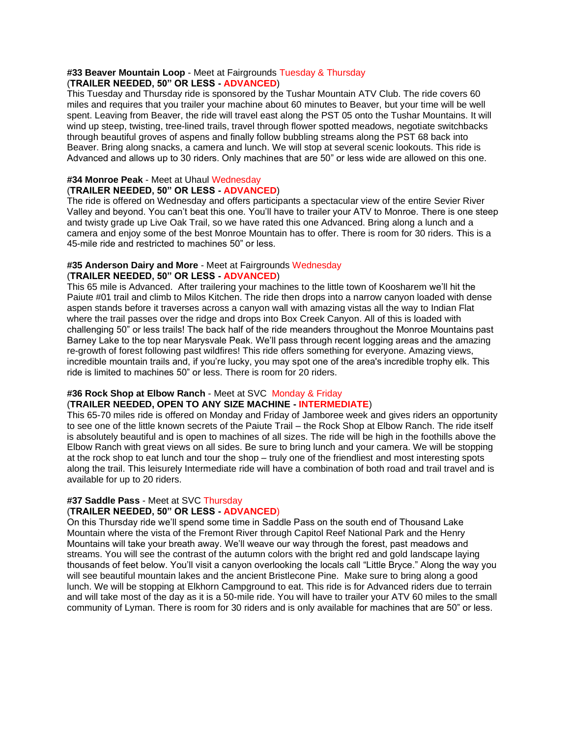#### **#33 Beaver Mountain Loop** - Meet at Fairgrounds Tuesday & Thursday (**TRAILER NEEDED, 50" OR LESS - ADVANCED**)

This Tuesday and Thursday ride is sponsored by the Tushar Mountain ATV Club. The ride covers 60 miles and requires that you trailer your machine about 60 minutes to Beaver, but your time will be well spent. Leaving from Beaver, the ride will travel east along the PST 05 onto the Tushar Mountains. It will wind up steep, twisting, tree-lined trails, travel through flower spotted meadows, negotiate switchbacks through beautiful groves of aspens and finally follow bubbling streams along the PST 68 back into Beaver. Bring along snacks, a camera and lunch. We will stop at several scenic lookouts. This ride is Advanced and allows up to 30 riders. Only machines that are 50" or less wide are allowed on this one.

### **#34 Monroe Peak** - Meet at Uhaul Wednesday (**TRAILER NEEDED, 50" OR LESS - ADVANCED**)

The ride is offered on Wednesday and offers participants a spectacular view of the entire Sevier River Valley and beyond. You can't beat this one. You'll have to trailer your ATV to Monroe. There is one steep and twisty grade up Live Oak Trail, so we have rated this one Advanced. Bring along a lunch and a camera and enjoy some of the best Monroe Mountain has to offer. There is room for 30 riders. This is a 45-mile ride and restricted to machines 50" or less.

### **#35 Anderson Dairy and More** - Meet at Fairgrounds Wednesday (**TRAILER NEEDED, 50" OR LESS - ADVANCED**)

This 65 mile is Advanced. After trailering your machines to the little town of Koosharem we'll hit the Paiute #01 trail and climb to Milos Kitchen. The ride then drops into a narrow canyon loaded with dense aspen stands before it traverses across a canyon wall with amazing vistas all the way to Indian Flat where the trail passes over the ridge and drops into Box Creek Canyon. All of this is loaded with challenging 50" or less trails! The back half of the ride meanders throughout the Monroe Mountains past Barney Lake to the top near Marysvale Peak. We'll pass through recent logging areas and the amazing re-growth of forest following past wildfires! This ride offers something for everyone. Amazing views, incredible mountain trails and, if you're lucky, you may spot one of the area's incredible trophy elk. This ride is limited to machines 50" or less. There is room for 20 riders.

## **#36 Rock Shop at Elbow Ranch** - Meet at SVC Monday & Friday (**TRAILER NEEDED, OPEN TO ANY SIZE MACHINE - INTERMEDIATE**)

This 65-70 miles ride is offered on Monday and Friday of Jamboree week and gives riders an opportunity to see one of the little known secrets of the Paiute Trail – the Rock Shop at Elbow Ranch. The ride itself is absolutely beautiful and is open to machines of all sizes. The ride will be high in the foothills above the Elbow Ranch with great views on all sides. Be sure to bring lunch and your camera. We will be stopping at the rock shop to eat lunch and tour the shop – truly one of the friendliest and most interesting spots along the trail. This leisurely Intermediate ride will have a combination of both road and trail travel and is available for up to 20 riders.

#### **#37 Saddle Pass** - Meet at SVC Thursday (**TRAILER NEEDED, 50" OR LESS - ADVANCED**)

On this Thursday ride we'll spend some time in Saddle Pass on the south end of Thousand Lake Mountain where the vista of the Fremont River through Capitol Reef National Park and the Henry Mountains will take your breath away. We'll weave our way through the forest, past meadows and streams. You will see the contrast of the autumn colors with the bright red and gold landscape laying thousands of feet below. You'll visit a canyon overlooking the locals call "Little Bryce." Along the way you will see beautiful mountain lakes and the ancient Bristlecone Pine. Make sure to bring along a good lunch. We will be stopping at Elkhorn Campground to eat. This ride is for Advanced riders due to terrain and will take most of the day as it is a 50-mile ride. You will have to trailer your ATV 60 miles to the small community of Lyman. There is room for 30 riders and is only available for machines that are 50" or less.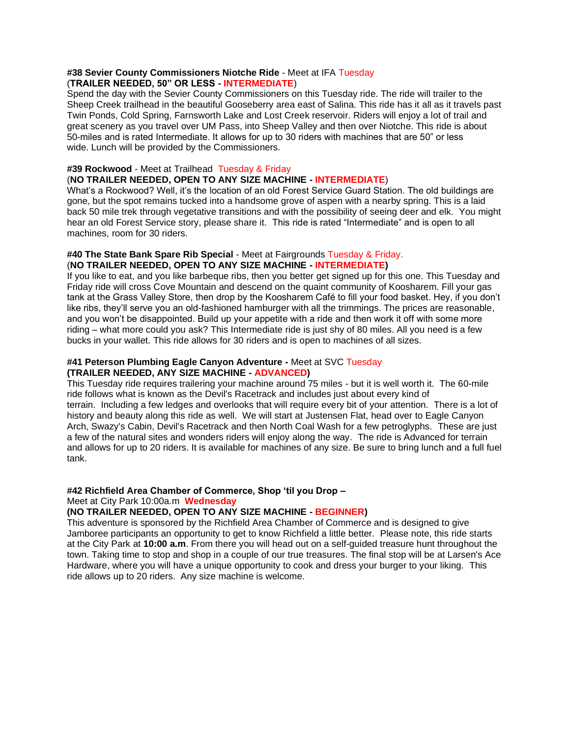#### **#38 Sevier County Commissioners Niotche Ride** - Meet at IFA Tuesday (**TRAILER NEEDED, 50" OR LESS - INTERMEDIATE**)

Spend the day with the Sevier County Commissioners on this Tuesday ride. The ride will trailer to the Sheep Creek trailhead in the beautiful Gooseberry area east of Salina. This ride has it all as it travels past Twin Ponds, Cold Spring, Farnsworth Lake and Lost Creek reservoir. Riders will enjoy a lot of trail and great scenery as you travel over UM Pass, into Sheep Valley and then over Niotche. This ride is about 50-miles and is rated Intermediate. It allows for up to 30 riders with machines that are 50" or less wide. Lunch will be provided by the Commissioners.

#### **#39 Rockwood** - Meet at Trailhead Tuesday & Friday

## (**NO TRAILER NEEDED, OPEN TO ANY SIZE MACHINE - INTERMEDIATE**)

What's a Rockwood? Well, it's the location of an old Forest Service Guard Station. The old buildings are gone, but the spot remains tucked into a handsome grove of aspen with a nearby spring. This is a laid back 50 mile trek through vegetative transitions and with the possibility of seeing deer and elk. You might hear an old Forest Service story, please share it. This ride is rated "Intermediate" and is open to all machines, room for 30 riders.

#### **#40 The State Bank Spare Rib Special** - Meet at Fairgrounds Tuesday & Friday. (**NO TRAILER NEEDED, OPEN TO ANY SIZE MACHINE - INTERMEDIATE)**

If you like to eat, and you like barbeque ribs, then you better get signed up for this one. This Tuesday and Friday ride will cross Cove Mountain and descend on the quaint community of Koosharem. Fill your gas tank at the Grass Valley Store, then drop by the Koosharem Café to fill your food basket. Hey, if you don't like ribs, they'll serve you an old-fashioned hamburger with all the trimmings. The prices are reasonable, and you won't be disappointed. Build up your appetite with a ride and then work it off with some more riding – what more could you ask? This Intermediate ride is just shy of 80 miles. All you need is a few bucks in your wallet. This ride allows for 30 riders and is open to machines of all sizes.

## **#41 Peterson Plumbing Eagle Canyon Adventure -** Meet at SVC Tuesday **(TRAILER NEEDED, ANY SIZE MACHINE - ADVANCED)**

This Tuesday ride requires trailering your machine around 75 miles - but it is well worth it. The 60-mile ride follows what is known as the Devil's Racetrack and includes just about every kind of terrain. Including a few ledges and overlooks that will require every bit of your attention. There is a lot of history and beauty along this ride as well. We will start at Justensen Flat, head over to Eagle Canyon Arch, Swazy's Cabin, Devil's Racetrack and then North Coal Wash for a few petroglyphs. These are just a few of the natural sites and wonders riders will enjoy along the way. The ride is Advanced for terrain and allows for up to 20 riders. It is available for machines of any size. Be sure to bring lunch and a full fuel tank.

#### **#42 Richfield Area Chamber of Commerce, Shop 'til you Drop –**

#### Meet at City Park 10:00a.m **Wednesday**

## **(NO TRAILER NEEDED, OPEN TO ANY SIZE MACHINE - BEGINNER)**

This adventure is sponsored by the Richfield Area Chamber of Commerce and is designed to give Jamboree participants an opportunity to get to know Richfield a little better. Please note, this ride starts at the City Park at **10:00 a.m**. From there you will head out on a self-guided treasure hunt throughout the town. Taking time to stop and shop in a couple of our true treasures. The final stop will be at Larsen's Ace Hardware, where you will have a unique opportunity to cook and dress your burger to your liking. This ride allows up to 20 riders. Any size machine is welcome.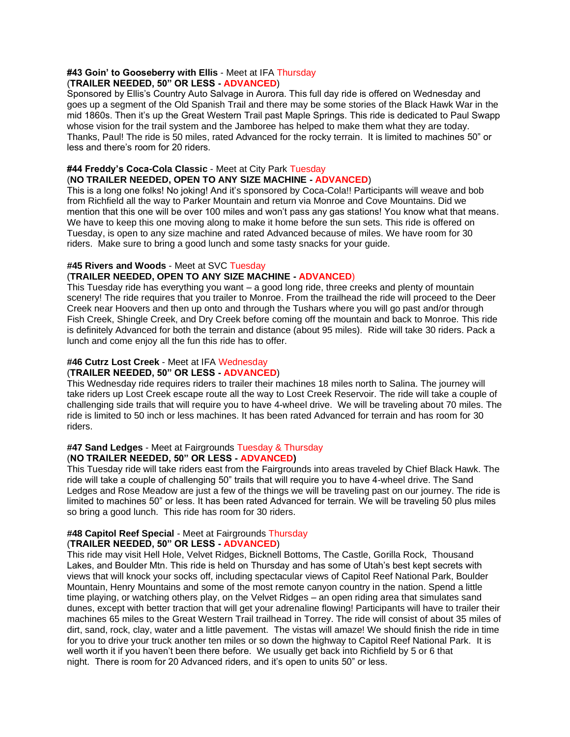#### **#43 Goin' to Gooseberry with Ellis** - Meet at IFA Thursday (**TRAILER NEEDED, 50" OR LESS - ADVANCED**)

Sponsored by Ellis's Country Auto Salvage in Aurora. This full day ride is offered on Wednesday and goes up a segment of the Old Spanish Trail and there may be some stories of the Black Hawk War in the mid 1860s. Then it's up the Great Western Trail past Maple Springs. This ride is dedicated to Paul Swapp whose vision for the trail system and the Jamboree has helped to make them what they are today. Thanks, Paul! The ride is 50 miles, rated Advanced for the rocky terrain. It is limited to machines 50" or less and there's room for 20 riders.

## **#44 Freddy's Coca-Cola Classic** - Meet at City Park Tuesday

(**NO TRAILER NEEDED, OPEN TO ANY SIZE MACHINE - ADVANCED**)

This is a long one folks! No joking! And it's sponsored by Coca-Cola!! Participants will weave and bob from Richfield all the way to Parker Mountain and return via Monroe and Cove Mountains. Did we mention that this one will be over 100 miles and won't pass any gas stations! You know what that means. We have to keep this one moving along to make it home before the sun sets. This ride is offered on Tuesday, is open to any size machine and rated Advanced because of miles. We have room for 30 riders. Make sure to bring a good lunch and some tasty snacks for your guide.

## **#45 Rivers and Woods** - Meet at SVC Tuesday

## (**TRAILER NEEDED, OPEN TO ANY SIZE MACHINE - ADVANCED**)

This Tuesday ride has everything you want – a good long ride, three creeks and plenty of mountain scenery! The ride requires that you trailer to Monroe. From the trailhead the ride will proceed to the Deer Creek near Hoovers and then up onto and through the Tushars where you will go past and/or through Fish Creek, Shingle Creek, and Dry Creek before coming off the mountain and back to Monroe. This ride is definitely Advanced for both the terrain and distance (about 95 miles). Ride will take 30 riders. Pack a lunch and come enjoy all the fun this ride has to offer.

## **#46 Cutrz Lost Creek** - Meet at IFA Wednesday

### (**TRAILER NEEDED, 50" OR LESS - ADVANCED**)

This Wednesday ride requires riders to trailer their machines 18 miles north to Salina. The journey will take riders up Lost Creek escape route all the way to Lost Creek Reservoir. The ride will take a couple of challenging side trails that will require you to have 4-wheel drive. We will be traveling about 70 miles. The ride is limited to 50 inch or less machines. It has been rated Advanced for terrain and has room for 30 riders.

#### **#47 Sand Ledges** - Meet at Fairgrounds Tuesday & Thursday (**NO TRAILER NEEDED, 50" OR LESS - ADVANCED)**

This Tuesday ride will take riders east from the Fairgrounds into areas traveled by Chief Black Hawk. The ride will take a couple of challenging 50" trails that will require you to have 4-wheel drive. The Sand Ledges and Rose Meadow are just a few of the things we will be traveling past on our journey. The ride is limited to machines 50" or less. It has been rated Advanced for terrain. We will be traveling 50 plus miles so bring a good lunch. This ride has room for 30 riders.

#### **#48 Capitol Reef Special** - Meet at Fairgrounds Thursday (**TRAILER NEEDED, 50" OR LESS - ADVANCED**)

This ride may visit Hell Hole, Velvet Ridges, Bicknell Bottoms, The Castle, Gorilla Rock, Thousand Lakes, and Boulder Mtn. This ride is held on Thursday and has some of Utah's best kept secrets with views that will knock your socks off, including spectacular views of Capitol Reef National Park, Boulder Mountain, Henry Mountains and some of the most remote canyon country in the nation. Spend a little time playing, or watching others play, on the Velvet Ridges – an open riding area that simulates sand dunes, except with better traction that will get your adrenaline flowing! Participants will have to trailer their machines 65 miles to the Great Western Trail trailhead in Torrey. The ride will consist of about 35 miles of dirt, sand, rock, clay, water and a little pavement. The vistas will amaze! We should finish the ride in time for you to drive your truck another ten miles or so down the highway to Capitol Reef National Park. It is well worth it if you haven't been there before. We usually get back into Richfield by 5 or 6 that night. There is room for 20 Advanced riders, and it's open to units 50" or less.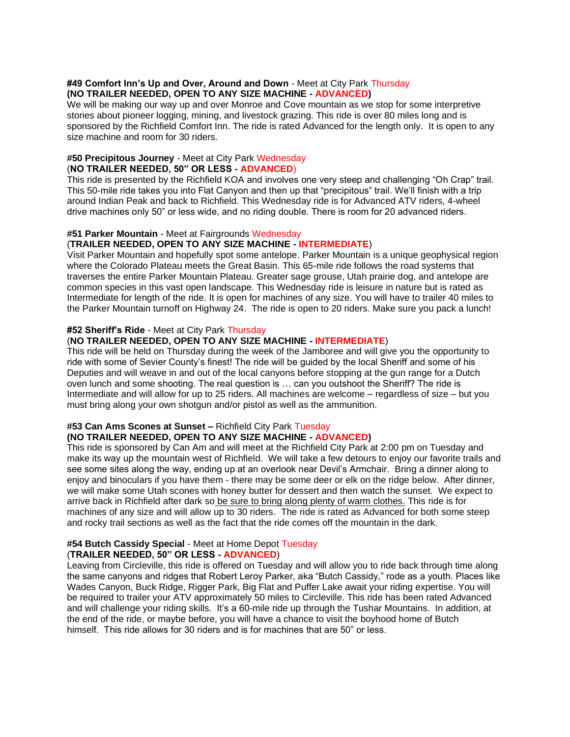#### **#49 Comfort Inn's Up and Over, Around and Down** - Meet at City Park Thursday **(NO TRAILER NEEDED, OPEN TO ANY SIZE MACHINE - ADVANCED)**

We will be making our way up and over Monroe and Cove mountain as we stop for some interpretive stories about pioneer logging, mining, and livestock grazing. This ride is over 80 miles long and is sponsored by the Richfield Comfort Inn. The ride is rated Advanced for the length only. It is open to any size machine and room for 30 riders.

## **#50 Precipitous Journey** - Meet at City Park Wednesday (**NO TRAILER NEEDED, 50" OR LESS - ADVANCED**)

This ride is presented by the Richfield KOA and involves one very steep and challenging "Oh Crap" trail. This 50-mile ride takes you into Flat Canyon and then up that "precipitous" trail. We'll finish with a trip around Indian Peak and back to Richfield. This Wednesday ride is for Advanced ATV riders, 4-wheel drive machines only 50" or less wide, and no riding double. There is room for 20 advanced riders.

## **#51 Parker Mountain** - Meet at Fairgrounds Wednesday

## (**TRAILER NEEDED, OPEN TO ANY SIZE MACHINE - INTERMEDIATE**)

Visit Parker Mountain and hopefully spot some antelope. Parker Mountain is a unique geophysical region where the Colorado Plateau meets the Great Basin. This 65-mile ride follows the road systems that traverses the entire Parker Mountain Plateau. Greater sage grouse, Utah prairie dog, and antelope are common species in this vast open landscape. This Wednesday ride is leisure in nature but is rated as Intermediate for length of the ride. It is open for machines of any size. You will have to trailer 40 miles to the Parker Mountain turnoff on Highway 24. The ride is open to 20 riders. Make sure you pack a lunch!

#### **#52 Sheriff's Ride** - Meet at City Park Thursday

## (**NO TRAILER NEEDED, OPEN TO ANY SIZE MACHINE - INTERMEDIATE**)

This ride will be held on Thursday during the week of the Jamboree and will give you the opportunity to ride with some of Sevier County's finest! The ride will be guided by the local Sheriff and some of his Deputies and will weave in and out of the local canyons before stopping at the gun range for a Dutch oven lunch and some shooting. The real question is … can you outshoot the Sheriff? The ride is Intermediate and will allow for up to 25 riders. All machines are welcome – regardless of size – but you must bring along your own shotgun and/or pistol as well as the ammunition.

## **#53 Can Ams Scones at Sunset –** Richfield City Park Tuesday

## **(NO TRAILER NEEDED, OPEN TO ANY SIZE MACHINE - ADVANCED)**

This ride is sponsored by Can Am and will meet at the Richfield City Park at 2:00 pm on Tuesday and make its way up the mountain west of Richfield. We will take a few detours to enjoy our favorite trails and see some sites along the way, ending up at an overlook near Devil's Armchair. Bring a dinner along to enjoy and binoculars if you have them - there may be some deer or elk on the ridge below. After dinner, we will make some Utah scones with honey butter for dessert and then watch the sunset. We expect to arrive back in Richfield after dark so be sure to bring along plenty of warm clothes. This ride is for machines of any size and will allow up to 30 riders. The ride is rated as Advanced for both some steep and rocky trail sections as well as the fact that the ride comes off the mountain in the dark.

#### **#54 Butch Cassidy Special** - Meet at Home Depot Tuesday (**TRAILER NEEDED, 50" OR LESS - ADVANCED**)

Leaving from Circleville, this ride is offered on Tuesday and will allow you to ride back through time along the same canyons and ridges that Robert Leroy Parker, aka "Butch Cassidy," rode as a youth. Places like Wades Canyon, Buck Ridge, Rigger Park, Big Flat and Puffer Lake await your riding expertise. You will be required to trailer your ATV approximately 50 miles to Circleville. This ride has been rated Advanced and will challenge your riding skills. It's a 60-mile ride up through the Tushar Mountains. In addition, at the end of the ride, or maybe before, you will have a chance to visit the boyhood home of Butch himself. This ride allows for 30 riders and is for machines that are 50" or less.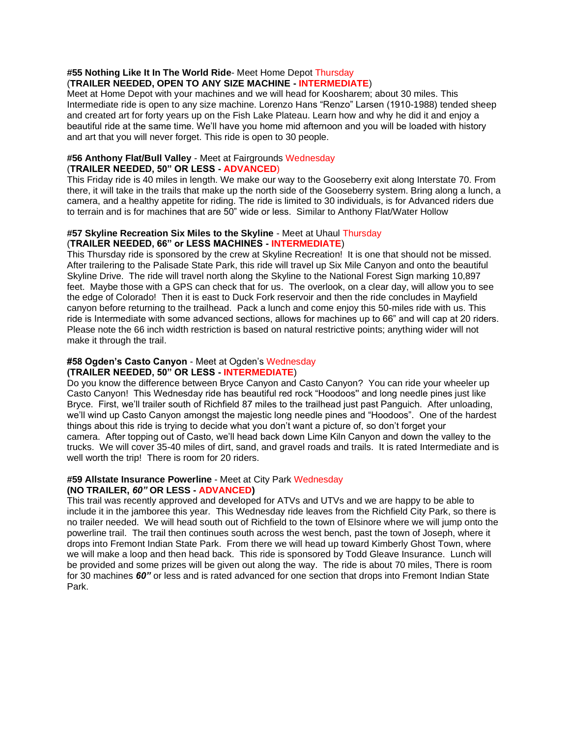#### **#55 Nothing Like It In The World Ride**- Meet Home Depot Thursday (**TRAILER NEEDED, OPEN TO ANY SIZE MACHINE - INTERMEDIATE**)

Meet at Home Depot with your machines and we will head for Koosharem; about 30 miles. This Intermediate ride is open to any size machine. Lorenzo Hans "Renzo" Larsen (1910-1988) tended sheep and created art for forty years up on the Fish Lake Plateau. Learn how and why he did it and enjoy a beautiful ride at the same time. We'll have you home mid afternoon and you will be loaded with history and art that you will never forget. This ride is open to 30 people.

### **#56 Anthony Flat/Bull Valley** - Meet at Fairgrounds Wednesday (**TRAILER NEEDED, 50" OR LESS - ADVANCED**)

This Friday ride is 40 miles in length. We make our way to the Gooseberry exit along Interstate 70. From there, it will take in the trails that make up the north side of the Gooseberry system. Bring along a lunch, a camera, and a healthy appetite for riding. The ride is limited to 30 individuals, is for Advanced riders due to terrain and is for machines that are 50" wide or less. Similar to Anthony Flat/Water Hollow

#### **#57 Skyline Recreation Six Miles to the Skyline** - Meet at Uhaul Thursday (**TRAILER NEEDED, 66" or LESS MACHINES - INTERMEDIATE**)

This Thursday ride is sponsored by the crew at Skyline Recreation! It is one that should not be missed. After trailering to the Palisade State Park, this ride will travel up Six Mile Canyon and onto the beautiful Skyline Drive. The ride will travel north along the Skyline to the National Forest Sign marking 10,897 feet. Maybe those with a GPS can check that for us. The overlook, on a clear day, will allow you to see the edge of Colorado! Then it is east to Duck Fork reservoir and then the ride concludes in Mayfield canyon before returning to the trailhead. Pack a lunch and come enjoy this 50-miles ride with us. This ride is Intermediate with some advanced sections, allows for machines up to 66" and will cap at 20 riders. Please note the 66 inch width restriction is based on natural restrictive points; anything wider will not make it through the trail.

#### **#58 Ogden's Casto Canyon** - Meet at Ogden's Wednesday **(TRAILER NEEDED, 50" OR LESS - INTERMEDIATE**)

Do you know the difference between Bryce Canyon and Casto Canyon? You can ride your wheeler up Casto Canyon! This Wednesday ride has beautiful red rock "Hoodoos'' and long needle pines just like Bryce. First, we'll trailer south of Richfield 87 miles to the trailhead just past Panguich. After unloading, we'll wind up Casto Canyon amongst the majestic long needle pines and "Hoodoos". One of the hardest things about this ride is trying to decide what you don't want a picture of, so don't forget your camera. After topping out of Casto, we'll head back down Lime Kiln Canyon and down the valley to the trucks. We will cover 35-40 miles of dirt, sand, and gravel roads and trails. It is rated Intermediate and is well worth the trip! There is room for 20 riders.

# **#59 Allstate Insurance Powerline** - Meet at City Park Wednesday

## **(NO TRAILER,** *60"* **OR LESS - ADVANCED)**

This trail was recently approved and developed for ATVs and UTVs and we are happy to be able to include it in the jamboree this year. This Wednesday ride leaves from the Richfield City Park, so there is no trailer needed. We will head south out of Richfield to the town of Elsinore where we will jump onto the powerline trail. The trail then continues south across the west bench, past the town of Joseph, where it drops into Fremont Indian State Park. From there we will head up toward Kimberly Ghost Town, where we will make a loop and then head back. This ride is sponsored by Todd Gleave Insurance. Lunch will be provided and some prizes will be given out along the way. The ride is about 70 miles, There is room for 30 machines *60"* or less and is rated advanced for one section that drops into Fremont Indian State Park.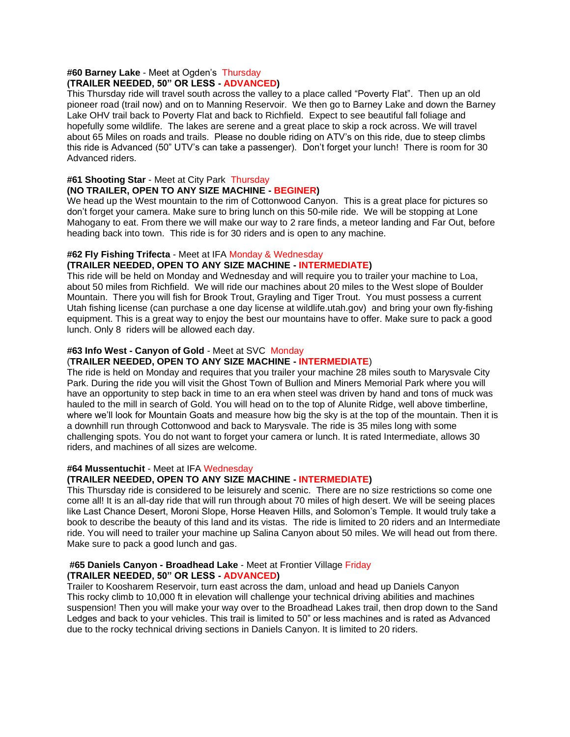#### **#60 Barney Lake** - Meet at Ogden's Thursday **(TRAILER NEEDED, 50" OR LESS - ADVANCED)**

This Thursday ride will travel south across the valley to a place called "Poverty Flat". Then up an old pioneer road (trail now) and on to Manning Reservoir. We then go to Barney Lake and down the Barney Lake OHV trail back to Poverty Flat and back to Richfield. Expect to see beautiful fall foliage and hopefully some wildlife. The lakes are serene and a great place to skip a rock across. We will travel about 65 Miles on roads and trails. Please no double riding on ATV's on this ride, due to steep climbs this ride is Advanced (50" UTV's can take a passenger). Don't forget your lunch! There is room for 30 Advanced riders.

# **#61 Shooting Star** - Meet at City Park Thursday

# **(NO TRAILER, OPEN TO ANY SIZE MACHINE - BEGINER)**

We head up the West mountain to the rim of Cottonwood Canyon. This is a great place for pictures so don't forget your camera. Make sure to bring lunch on this 50-mile ride. We will be stopping at Lone Mahogany to eat. From there we will make our way to 2 rare finds, a meteor landing and Far Out, before heading back into town. This ride is for 30 riders and is open to any machine.

## **#62 Fly Fishing Trifecta** - Meet at IFA Monday & Wednesday

## **(TRAILER NEEDED, OPEN TO ANY SIZE MACHINE - INTERMEDIATE)**

This ride will be held on Monday and Wednesday and will require you to trailer your machine to Loa, about 50 miles from Richfield. We will ride our machines about 20 miles to the West slope of Boulder Mountain. There you will fish for Brook Trout, Grayling and Tiger Trout. You must possess a current Utah fishing license (can purchase a one day license at wildlife.utah.gov) and bring your own fly-fishing equipment. This is a great way to enjoy the best our mountains have to offer. Make sure to pack a good lunch. Only 8 riders will be allowed each day.

## **#63 Info West - Canyon of Gold** - Meet at SVC Monday

## (**TRAILER NEEDED, OPEN TO ANY SIZE MACHINE - INTERMEDIATE**)

The ride is held on Monday and requires that you trailer your machine 28 miles south to Marysvale City Park. During the ride you will visit the Ghost Town of Bullion and Miners Memorial Park where you will have an opportunity to step back in time to an era when steel was driven by hand and tons of muck was hauled to the mill in search of Gold. You will head on to the top of Alunite Ridge, well above timberline, where we'll look for Mountain Goats and measure how big the sky is at the top of the mountain. Then it is a downhill run through Cottonwood and back to Marysvale. The ride is 35 miles long with some challenging spots. You do not want to forget your camera or lunch. It is rated Intermediate, allows 30 riders, and machines of all sizes are welcome.

#### **#64 Mussentuchit** - Meet at IFA Wednesday

## **(TRAILER NEEDED, OPEN TO ANY SIZE MACHINE - INTERMEDIATE)**

This Thursday ride is considered to be leisurely and scenic. There are no size restrictions so come one come all! It is an all-day ride that will run through about 70 miles of high desert. We will be seeing places like Last Chance Desert, Moroni Slope, Horse Heaven Hills, and Solomon's Temple. It would truly take a book to describe the beauty of this land and its vistas. The ride is limited to 20 riders and an Intermediate ride. You will need to trailer your machine up Salina Canyon about 50 miles. We will head out from there. Make sure to pack a good lunch and gas.

#### **#65 Daniels Canyon - Broadhead Lake** - Meet at Frontier Village Friday **(TRAILER NEEDED, 50" OR LESS - ADVANCED)**

Trailer to Koosharem Reservoir, turn east across the dam, unload and head up Daniels Canyon This rocky climb to 10,000 ft in elevation will challenge your technical driving abilities and machines suspension! Then you will make your way over to the Broadhead Lakes trail, then drop down to the Sand Ledges and back to your vehicles. This trail is limited to 50" or less machines and is rated as Advanced due to the rocky technical driving sections in Daniels Canyon. It is limited to 20 riders.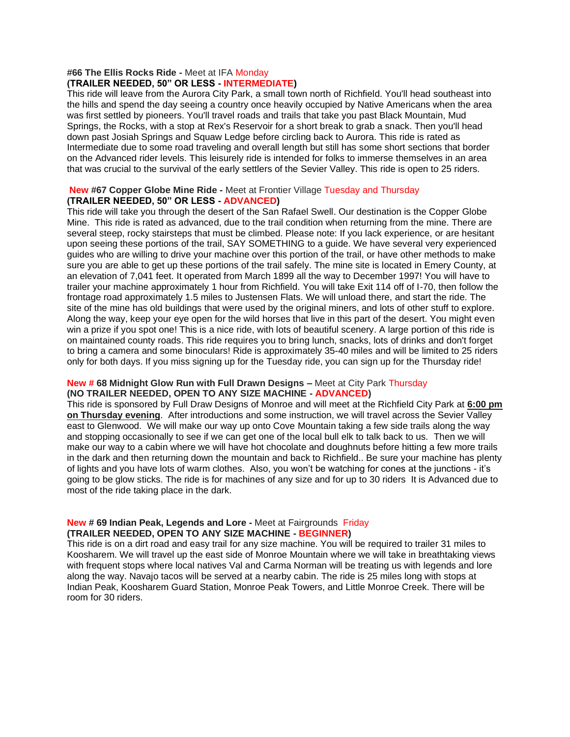#### **#66 The Ellis Rocks Ride -** Meet at IFA Monday **(TRAILER NEEDED, 50" OR LESS - INTERMEDIATE)**

This ride will leave from the Aurora City Park, a small town north of Richfield. You'll head southeast into the hills and spend the day seeing a country once heavily occupied by Native Americans when the area was first settled by pioneers. You'll travel roads and trails that take you past Black Mountain, Mud Springs, the Rocks, with a stop at Rex's Reservoir for a short break to grab a snack. Then you'll head down past Josiah Springs and Squaw Ledge before circling back to Aurora. This ride is rated as Intermediate due to some road traveling and overall length but still has some short sections that border on the Advanced rider levels. This leisurely ride is intended for folks to immerse themselves in an area that was crucial to the survival of the early settlers of the Sevier Valley. This ride is open to 25 riders.

### **New #67 Copper Globe Mine Ride -** Meet at Frontier Village Tuesday and Thursday **(TRAILER NEEDED, 50" OR LESS - ADVANCED)**

This ride will take you through the desert of the San Rafael Swell. Our destination is the Copper Globe Mine. This ride is rated as advanced, due to the trail condition when returning from the mine. There are several steep, rocky stairsteps that must be climbed. Please note: If you lack experience, or are hesitant upon seeing these portions of the trail, SAY SOMETHING to a guide. We have several very experienced guides who are willing to drive your machine over this portion of the trail, or have other methods to make sure you are able to get up these portions of the trail safely. The mine site is located in Emery County, at an elevation of 7,041 feet. It operated from March 1899 all the way to December 1997! You will have to trailer your machine approximately 1 hour from Richfield. You will take Exit 114 off of I-70, then follow the frontage road approximately 1.5 miles to Justensen Flats. We will unload there, and start the ride. The site of the mine has old buildings that were used by the original miners, and lots of other stuff to explore. Along the way, keep your eye open for the wild horses that live in this part of the desert. You might even win a prize if you spot one! This is a nice ride, with lots of beautiful scenery. A large portion of this ride is on maintained county roads. This ride requires you to bring lunch, snacks, lots of drinks and don't forget to bring a camera and some binoculars! Ride is approximately 35-40 miles and will be limited to 25 riders only for both days. If you miss signing up for the Tuesday ride, you can sign up for the Thursday ride!

## **New # 68 Midnight Glow Run with Full Drawn Designs –** Meet at City Park Thursday **(NO TRAILER NEEDED, OPEN TO ANY SIZE MACHINE - ADVANCED)**

This ride is sponsored by Full Draw Designs of Monroe and will meet at the Richfield City Park at **6:00 pm on Thursday evening**. After introductions and some instruction, we will travel across the Sevier Valley east to Glenwood. We will make our way up onto Cove Mountain taking a few side trails along the way and stopping occasionally to see if we can get one of the local bull elk to talk back to us. Then we will make our way to a cabin where we will have hot chocolate and doughnuts before hitting a few more trails in the dark and then returning down the mountain and back to Richfield.. Be sure your machine has plenty of lights and you have lots of warm clothes. Also, you won't be watching for cones at the junctions - it's going to be glow sticks. The ride is for machines of any size and for up to 30 riders It is Advanced due to most of the ride taking place in the dark.

#### **New # 69 Indian Peak, Legends and Lore -** Meet at Fairgrounds Friday **(TRAILER NEEDED, OPEN TO ANY SIZE MACHINE - BEGINNER)**

This ride is on a dirt road and easy trail for any size machine. You will be required to trailer 31 miles to Koosharem. We will travel up the east side of Monroe Mountain where we will take in breathtaking views with frequent stops where local natives Val and Carma Norman will be treating us with legends and lore along the way. Navajo tacos will be served at a nearby cabin. The ride is 25 miles long with stops at Indian Peak, Koosharem Guard Station, Monroe Peak Towers, and Little Monroe Creek. There will be room for 30 riders.